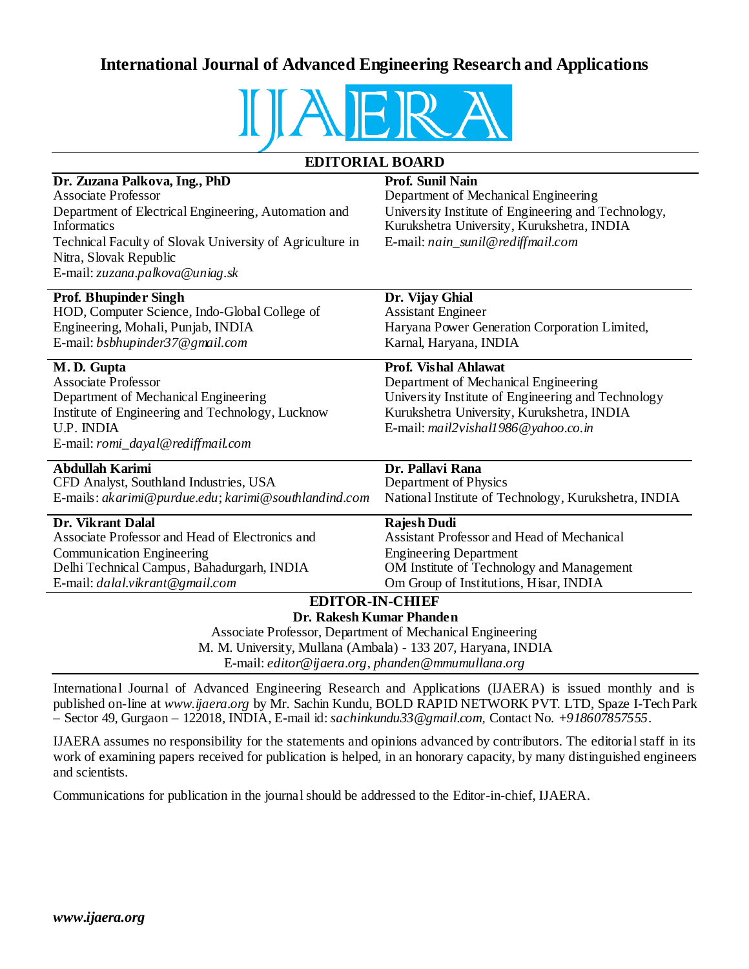## **International Journal of Advanced Engineering Research and Applications**



## **EDITORIAL BOARD**

| Dr. Zuzana Palkova, Ing., PhD                                                                                     | <b>Prof. Sunil Nain</b>                              |  |
|-------------------------------------------------------------------------------------------------------------------|------------------------------------------------------|--|
| <b>Associate Professor</b>                                                                                        | Department of Mechanical Engineering                 |  |
| Department of Electrical Engineering, Automation and                                                              | University Institute of Engineering and Technology,  |  |
| <b>Informatics</b>                                                                                                | Kurukshetra University, Kurukshetra, INDIA           |  |
| Technical Faculty of Slovak University of Agriculture in                                                          | E-mail: nain_sunil@rediffmail.com                    |  |
| Nitra, Slovak Republic                                                                                            |                                                      |  |
| E-mail: zuzana.palkova@uniag.sk                                                                                   |                                                      |  |
| <b>Prof. Bhupinder Singh</b>                                                                                      | Dr. Vijay Ghial                                      |  |
| HOD, Computer Science, Indo-Global College of                                                                     | <b>Assistant Engineer</b>                            |  |
| Engineering, Mohali, Punjab, INDIA                                                                                | Haryana Power Generation Corporation Limited,        |  |
| E-mail: bsbhupinder37@gmail.com                                                                                   | Karnal, Haryana, INDIA                               |  |
| M.D. Gupta                                                                                                        | <b>Prof. Vishal Ahlawat</b>                          |  |
| <b>Associate Professor</b>                                                                                        | Department of Mechanical Engineering                 |  |
| Department of Mechanical Engineering                                                                              | University Institute of Engineering and Technology   |  |
| Institute of Engineering and Technology, Lucknow                                                                  | Kurukshetra University, Kurukshetra, INDIA           |  |
| U.P. INDIA                                                                                                        | E-mail: mail2vishall986@yahoo.co.in                  |  |
| E-mail: romi_dayal@rediffmail.com                                                                                 |                                                      |  |
| <b>Abdullah Karimi</b>                                                                                            | Dr. Pallavi Rana                                     |  |
| CFD Analyst, Southland Industries, USA                                                                            | Department of Physics                                |  |
| E-mails: akarimi@purdue.edu; karimi@southlandind.com                                                              | National Institute of Technology, Kurukshetra, INDIA |  |
| Dr. Vikrant Dalal                                                                                                 | <b>Rajesh Dudi</b>                                   |  |
| Associate Professor and Head of Electronics and                                                                   | Assistant Professor and Head of Mechanical           |  |
| <b>Communication Engineering</b>                                                                                  | <b>Engineering Department</b>                        |  |
| Delhi Technical Campus, Bahadurgarh, INDIA                                                                        | OM Institute of Technology and Management            |  |
| E-mail: dalal.vikrant@gmail.com                                                                                   | Om Group of Institutions, Hisar, INDIA               |  |
| <b>EDITOR-IN-CHIEF</b>                                                                                            |                                                      |  |
| Dr. Rakesh Kumar Phanden                                                                                          |                                                      |  |
| Associate Professor, Department of Mechanical Engineering                                                         |                                                      |  |
| M. M. University, Mullana (Ambala) - 133 207, Haryana, INDIA<br>E-mail: editor@ijaera.org, phanden@mmumullana.org |                                                      |  |
|                                                                                                                   |                                                      |  |

International Journal of Advanced Engineering Research and Applications (IJAERA) is issued monthly and is published on-line at *www.ijaera.org* by Mr. Sachin Kundu, BOLD RAPID NETWORK PVT. LTD, Spaze I-Tech Park – Sector 49, Gurgaon – 122018, INDIA, E-mail id: *sachinkundu33@gmail.com,* Contact No. *+918607857555*.

IJAERA assumes no responsibility for the statements and opinions advanced by contributors. The editorial staff in its work of examining papers received for publication is helped, in an honorary capacity, by many distinguished engineers and scientists.

Communications for publication in the journal should be addressed to the Editor-in-chief, IJAERA.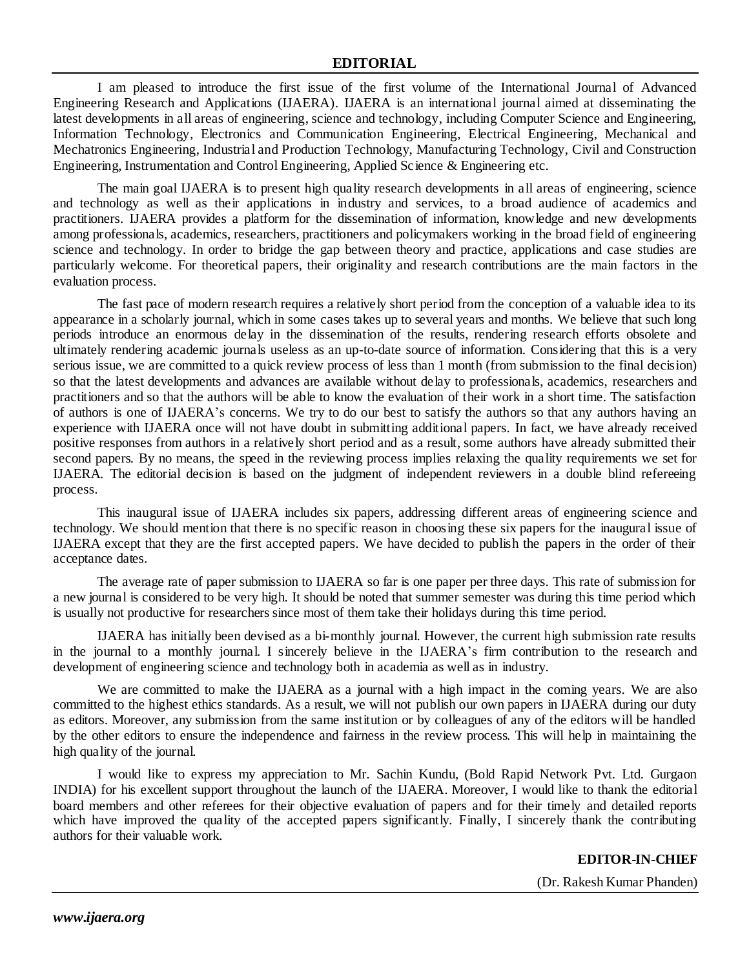I am pleased to introduce the first issue of the first volume of the International Journal of Advanced Engineering Research and Applications (IJAERA). IJAERA is an international journal aimed at disseminating the latest developments in all areas of engineering, science and technology, including Computer Science and Engineering, Information Technology, Electronics and Communication Engineering, Electrical Engineering, Mechanical and Mechatronics Engineering, Industrial and Production Technology, Manufacturing Technology, Civil and Construction Engineering, Instrumentation and Control Engineering, Applied Science & Engineering etc.

The main goal IJAERA is to present high quality research developments in all areas of engineering, science and technology as well as their applications in industry and services, to a broad audience of academics and practitioners. IJAERA provides a platform for the dissemination of information, knowledge and new developments among professionals, academics, researchers, practitioners and policymakers working in the broad field of engineering science and technology. In order to bridge the gap between theory and practice, applications and case studies are particularly welcome. For theoretical papers, their originality and research contributions are the main factors in the evaluation process.

The fast pace of modern research requires a relatively short period from the conception of a valuable idea to its appearance in a scholarly journal, which in some cases takes up to several years and months. We believe that such long periods introduce an enormous delay in the dissemination of the results, rendering research efforts obsolete and ultimately rendering academic journals useless as an up-to-date source of information. Considering that this is a very serious issue, we are committed to a quick review process of less than 1 month (from submission to the final decision) so that the latest developments and advances are available without delay to professionals, academics, researchers and practitioners and so that the authors will be able to know the evaluation of their work in a short time. The satisfaction of authors is one of IJAERA's concerns. We try to do our best to satisfy the authors so that any authors having an experience with IJAERA once will not have doubt in submitting additional papers. In fact, we have already received positive responses from authors in a relatively short period and as a result, some authors have already submitted their second papers. By no means, the speed in the reviewing process implies relaxing the quality requirements we set for IJAERA. The editorial decision is based on the judgment of independent reviewers in a double blind refereeing process.

This inaugural issue of IJAERA includes six papers, addressing different areas of engineering science and technology. We should mention that there is no specific reason in choosing these six papers for the inaugural issue of IJAERA except that they are the first accepted papers. We have decided to publish the papers in the order of their acceptance dates.

The average rate of paper submission to IJAERA so far is one paper per three days. This rate of submission for a new journal is considered to be very high. It should be noted that summer semester was during this time period which is usually not productive for researchers since most of them take their holidays during this time period.

IJAERA has initially been devised as a bi-monthly journal. However, the current high submission rate results in the journal to a monthly journal. I sincerely believe in the IJAERA's firm contribution to the research and development of engineering science and technology both in academia as well as in industry.

We are committed to make the IJAERA as a journal with a high impact in the coming years. We are also committed to the highest ethics standards. As a result, we will not publish our own papers in IJAERA during our duty as editors. Moreover, any submission from the same institution or by colleagues of any of the editors will be handled by the other editors to ensure the independence and fairness in the review process. This will help in maintaining the high quality of the journal.

I would like to express my appreciation to Mr. Sachin Kundu, (Bold Rapid Network Pvt. Ltd. Gurgaon INDIA) for his excellent support throughout the launch of the IJAERA. Moreover, I would like to thank the editorial board members and other referees for their objective evaluation of papers and for their timely and detailed reports which have improved the quality of the accepted papers significantly. Finally, I sincerely thank the contributing authors for their valuable work.

**EDITOR-IN-CHIEF**

(Dr. Rakesh Kumar Phanden)